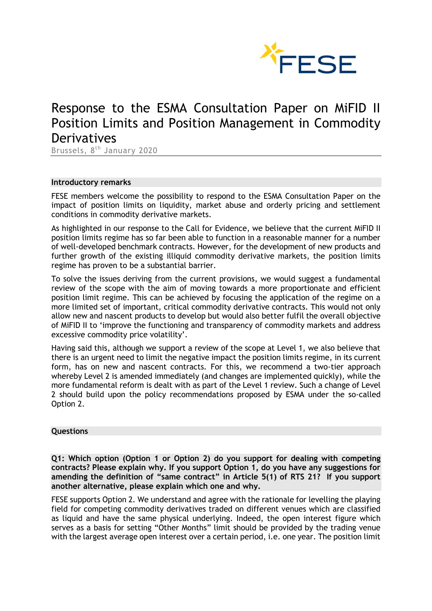

# Response to the ESMA Consultation Paper on MiFID II Position Limits and Position Management in Commodity **Derivatives**

Brussels, 8<sup>th</sup> January 2020

#### **Introductory remarks**

FESE members welcome the possibility to respond to the ESMA Consultation Paper on the impact of position limits on liquidity, market abuse and orderly pricing and settlement conditions in commodity derivative markets.

As highlighted in our response to the Call for Evidence, we believe that the current MiFID II position limits regime has so far been able to function in a reasonable manner for a number of well-developed benchmark contracts. However, for the development of new products and further growth of the existing illiquid commodity derivative markets, the position limits regime has proven to be a substantial barrier.

To solve the issues deriving from the current provisions, we would suggest a fundamental review of the scope with the aim of moving towards a more proportionate and efficient position limit regime. This can be achieved by focusing the application of the regime on a more limited set of important, critical commodity derivative contracts. This would not only allow new and nascent products to develop but would also better fulfil the overall objective of MiFID II to 'improve the functioning and transparency of commodity markets and address excessive commodity price volatility'.

Having said this, although we support a review of the scope at Level 1, we also believe that there is an urgent need to limit the negative impact the position limits regime, in its current form, has on new and nascent contracts. For this, we recommend a two-tier approach whereby Level 2 is amended immediately (and changes are implemented quickly), while the more fundamental reform is dealt with as part of the Level 1 review. Such a change of Level 2 should build upon the policy recommendations proposed by ESMA under the so-called Option 2.

# **Questions**

**Q1: Which option (Option 1 or Option 2) do you support for dealing with competing contracts? Please explain why. If you support Option 1, do you have any suggestions for amending the definition of "same contract" in Article 5(1) of RTS 21? If you support another alternative, please explain which one and why.**

FESE supports Option 2. We understand and agree with the rationale for levelling the playing field for competing commodity derivatives traded on different venues which are classified as liquid and have the same physical underlying. Indeed, the open interest figure which serves as a basis for setting "Other Months" limit should be provided by the trading venue with the largest average open interest over a certain period, i.e. one year. The position limit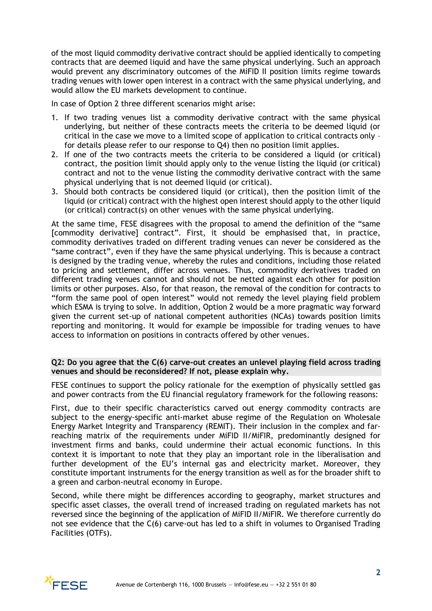of the most liquid commodity derivative contract should be applied identically to competing contracts that are deemed liquid and have the same physical underlying. Such an approach would prevent any discriminatory outcomes of the MiFID II position limits regime towards trading venues with lower open interest in a contract with the same physical underlying, and would allow the EU markets development to continue.

In case of Option 2 three different scenarios might arise:

- 1. If two trading venues list a commodity derivative contract with the same physical underlying, but neither of these contracts meets the criteria to be deemed liquid (or critical in the case we move to a limited scope of application to critical contracts only – for details please refer to our response to Q4) then no position limit applies.
- 2. If one of the two contracts meets the criteria to be considered a liquid (or critical) contract, the position limit should apply only to the venue listing the liquid (or critical) contract and not to the venue listing the commodity derivative contract with the same physical underlying that is not deemed liquid (or critical).
- 3. Should both contracts be considered liquid (or critical), then the position limit of the liquid (or critical) contract with the highest open interest should apply to the other liquid (or critical) contract(s) on other venues with the same physical underlying.

At the same time, FESE disagrees with the proposal to amend the definition of the "same [commodity derivative] contract". First, it should be emphasised that, in practice, commodity derivatives traded on different trading venues can never be considered as the "same contract", even if they have the same physical underlying. This is because a contract is designed by the trading venue, whereby the rules and conditions, including those related to pricing and settlement, differ across venues. Thus, commodity derivatives traded on different trading venues cannot and should not be netted against each other for position limits or other purposes. Also, for that reason, the removal of the condition for contracts to "form the same pool of open interest" would not remedy the level playing field problem which ESMA is trying to solve. In addition, Option 2 would be a more pragmatic way forward given the current set-up of national competent authorities (NCAs) towards position limits reporting and monitoring. It would for example be impossible for trading venues to have access to information on positions in contracts offered by other venues.

# **Q2: Do you agree that the C(6) carve-out creates an unlevel playing field across trading venues and should be reconsidered? If not, please explain why.**

FESE continues to support the policy rationale for the exemption of physically settled gas and power contracts from the EU financial regulatory framework for the following reasons:

First, due to their specific characteristics carved out energy commodity contracts are subject to the energy-specific anti-market abuse regime of the Regulation on Wholesale Energy Market Integrity and Transparency (REMIT). Their inclusion in the complex and farreaching matrix of the requirements under MiFID II/MiFIR, predominantly designed for investment firms and banks, could undermine their actual economic functions. In this context it is important to note that they play an important role in the liberalisation and further development of the EU's internal gas and electricity market. Moreover, they constitute important instruments for the energy transition as well as for the broader shift to a green and carbon-neutral economy in Europe.

Second, while there might be differences according to geography, market structures and specific asset classes, the overall trend of increased trading on regulated markets has not reversed since the beginning of the application of MiFID II/MiFIR. We therefore currently do not see evidence that the C(6) carve-out has led to a shift in volumes to Organised Trading Facilities (OTFs).

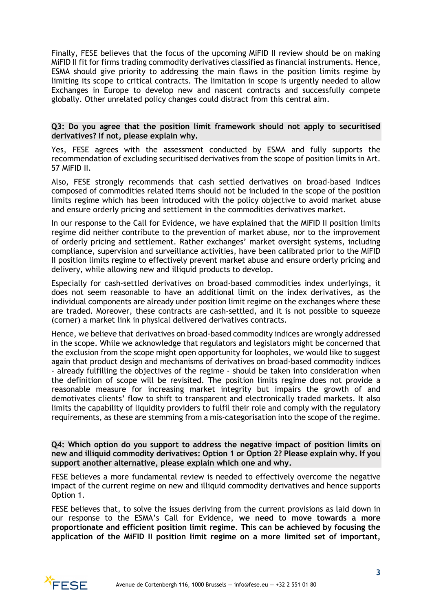Finally, FESE believes that the focus of the upcoming MiFID II review should be on making MiFID II fit for firms trading commodity derivatives classified as financial instruments. Hence, ESMA should give priority to addressing the main flaws in the position limits regime by limiting its scope to critical contracts. The limitation in scope is urgently needed to allow Exchanges in Europe to develop new and nascent contracts and successfully compete globally. Other unrelated policy changes could distract from this central aim.

## **Q3: Do you agree that the position limit framework should not apply to securitised derivatives? If not, please explain why.**

Yes, FESE agrees with the assessment conducted by ESMA and fully supports the recommendation of excluding securitised derivatives from the scope of position limits in Art. 57 MiFID II.

Also, FESE strongly recommends that cash settled derivatives on broad-based indices composed of commodities related items should not be included in the scope of the position limits regime which has been introduced with the policy objective to avoid market abuse and ensure orderly pricing and settlement in the commodities derivatives market.

In our response to the Call for Evidence, we have explained that the MiFID II position limits regime did neither contribute to the prevention of market abuse, nor to the improvement of orderly pricing and settlement. Rather exchanges' market oversight systems, including compliance, supervision and surveillance activities, have been calibrated prior to the MiFID II position limits regime to effectively prevent market abuse and ensure orderly pricing and delivery, while allowing new and illiquid products to develop.

Especially for cash-settled derivatives on broad-based commodities index underlyings, it does not seem reasonable to have an additional limit on the index derivatives, as the individual components are already under position limit regime on the exchanges where these are traded. Moreover, these contracts are cash-settled, and it is not possible to squeeze (corner) a market link in physical delivered derivatives contracts.

Hence, we believe that derivatives on broad-based commodity indices are wrongly addressed in the scope. While we acknowledge that regulators and legislators might be concerned that the exclusion from the scope might open opportunity for loopholes, we would like to suggest again that product design and mechanisms of derivatives on broad-based commodity indices - already fulfilling the objectives of the regime - should be taken into consideration when the definition of scope will be revisited. The position limits regime does not provide a reasonable measure for increasing market integrity but impairs the growth of and demotivates clients' flow to shift to transparent and electronically traded markets. It also limits the capability of liquidity providers to fulfil their role and comply with the regulatory requirements, as these are stemming from a mis-categorisation into the scope of the regime.

**Q4: Which option do you support to address the negative impact of position limits on new and illiquid commodity derivatives: Option 1 or Option 2? Please explain why. If you support another alternative, please explain which one and why.**

FESE believes a more fundamental review is needed to effectively overcome the negative impact of the current regime on new and illiquid commodity derivatives and hence supports Option 1.

FESE believes that, to solve the issues deriving from the current provisions as laid down in our response to the ESMA's Call for Evidence, **we need to move towards a more proportionate and efficient position limit regime. This can be achieved by focusing the application of the MiFID II position limit regime on a more limited set of important,** 

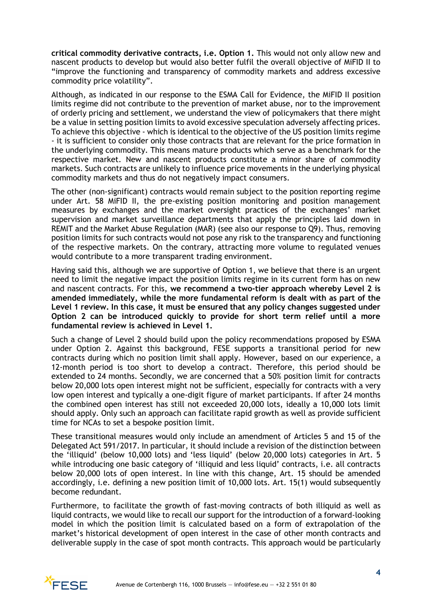**critical commodity derivative contracts, i.e. Option 1.** This would not only allow new and nascent products to develop but would also better fulfil the overall objective of MiFID II to "improve the functioning and transparency of commodity markets and address excessive commodity price volatility".

Although, as indicated in our response to the ESMA Call for Evidence, the MiFID II position limits regime did not contribute to the prevention of market abuse, nor to the improvement of orderly pricing and settlement, we understand the view of policymakers that there might be a value in setting position limits to avoid excessive speculation adversely affecting prices. To achieve this objective - which is identical to the objective of the US position limits regime - it is sufficient to consider only those contracts that are relevant for the price formation in the underlying commodity. This means mature products which serve as a benchmark for the respective market. New and nascent products constitute a minor share of commodity markets. Such contracts are unlikely to influence price movements in the underlying physical commodity markets and thus do not negatively impact consumers.

The other (non-significant) contracts would remain subject to the position reporting regime under Art. 58 MiFID II, the pre-existing position monitoring and position management measures by exchanges and the market oversight practices of the exchanges' market supervision and market surveillance departments that apply the principles laid down in REMIT and the Market Abuse Regulation (MAR) (see also our response to Q9). Thus, removing position limits for such contracts would not pose any risk to the transparency and functioning of the respective markets. On the contrary, attracting more volume to regulated venues would contribute to a more transparent trading environment.

Having said this, although we are supportive of Option 1, we believe that there is an urgent need to limit the negative impact the position limits regime in its current form has on new and nascent contracts. For this, **we recommend a two-tier approach whereby Level 2 is amended immediately, while the more fundamental reform is dealt with as part of the Level 1 review. In this case, it must be ensured that any policy changes suggested under Option 2 can be introduced quickly to provide for short term relief until a more fundamental review is achieved in Level 1.**

Such a change of Level 2 should build upon the policy recommendations proposed by ESMA under Option 2. Against this background, FESE supports a transitional period for new contracts during which no position limit shall apply. However, based on our experience, a 12-month period is too short to develop a contract. Therefore, this period should be extended to 24 months. Secondly, we are concerned that a 50% position limit for contracts below 20,000 lots open interest might not be sufficient, especially for contracts with a very low open interest and typically a one-digit figure of market participants. If after 24 months the combined open interest has still not exceeded 20,000 lots, ideally a 10,000 lots limit should apply. Only such an approach can facilitate rapid growth as well as provide sufficient time for NCAs to set a bespoke position limit.

These transitional measures would only include an amendment of Articles 5 and 15 of the Delegated Act 591/2017. In particular, it should include a revision of the distinction between the 'illiquid' (below 10,000 lots) and 'less liquid' (below 20,000 lots) categories in Art. 5 while introducing one basic category of 'illiquid and less liquid' contracts, i.e. all contracts below 20,000 lots of open interest. In line with this change, Art. 15 should be amended accordingly, i.e. defining a new position limit of 10,000 lots. Art. 15(1) would subsequently become redundant.

Furthermore, to facilitate the growth of fast-moving contracts of both illiquid as well as liquid contracts, we would like to recall our support for the introduction of a forward-looking model in which the position limit is calculated based on a form of extrapolation of the market's historical development of open interest in the case of other month contracts and deliverable supply in the case of spot month contracts. This approach would be particularly

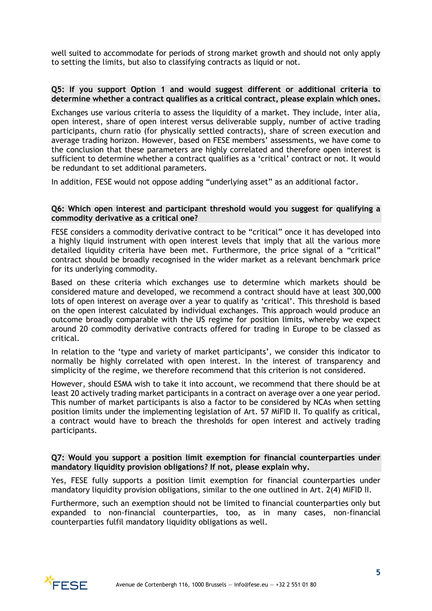well suited to accommodate for periods of strong market growth and should not only apply to setting the limits, but also to classifying contracts as liquid or not.

#### **Q5: If you support Option 1 and would suggest different or additional criteria to determine whether a contract qualifies as a critical contract, please explain which ones.**

Exchanges use various criteria to assess the liquidity of a market. They include, inter alia, open interest, share of open interest versus deliverable supply, number of active trading participants, churn ratio (for physically settled contracts), share of screen execution and average trading horizon. However, based on FESE members' assessments, we have come to the conclusion that these parameters are highly correlated and therefore open interest is sufficient to determine whether a contract qualifies as a 'critical' contract or not. It would be redundant to set additional parameters.

In addition, FESE would not oppose adding "underlying asset" as an additional factor.

## **Q6: Which open interest and participant threshold would you suggest for qualifying a commodity derivative as a critical one?**

FESE considers a commodity derivative contract to be "critical" once it has developed into a highly liquid instrument with open interest levels that imply that all the various more detailed liquidity criteria have been met. Furthermore, the price signal of a "critical" contract should be broadly recognised in the wider market as a relevant benchmark price for its underlying commodity.

Based on these criteria which exchanges use to determine which markets should be considered mature and developed, we recommend a contract should have at least 300,000 lots of open interest on average over a year to qualify as 'critical'. This threshold is based on the open interest calculated by individual exchanges. This approach would produce an outcome broadly comparable with the US regime for position limits, whereby we expect around 20 commodity derivative contracts offered for trading in Europe to be classed as critical.

In relation to the 'type and variety of market participants', we consider this indicator to normally be highly correlated with open interest. In the interest of transparency and simplicity of the regime, we therefore recommend that this criterion is not considered.

However, should ESMA wish to take it into account, we recommend that there should be at least 20 actively trading market participants in a contract on average over a one year period. This number of market participants is also a factor to be considered by NCAs when setting position limits under the implementing legislation of Art. 57 MiFID II. To qualify as critical, a contract would have to breach the thresholds for open interest and actively trading participants.

## **Q7: Would you support a position limit exemption for financial counterparties under mandatory liquidity provision obligations? If not, please explain why.**

Yes, FESE fully supports a position limit exemption for financial counterparties under mandatory liquidity provision obligations, similar to the one outlined in Art. 2(4) MiFID II.

Furthermore, such an exemption should not be limited to financial counterparties only but expanded to non-financial counterparties, too, as in many cases, non-financial counterparties fulfil mandatory liquidity obligations as well.

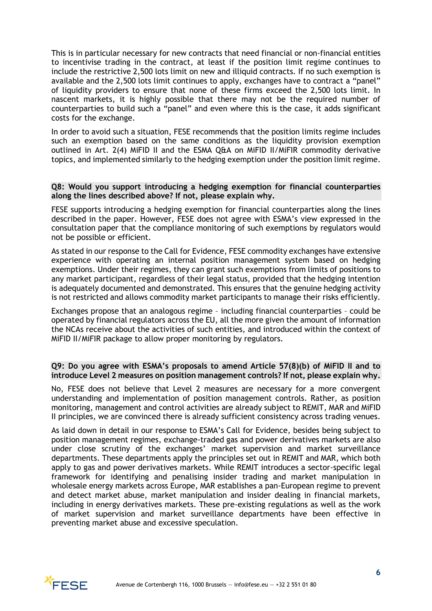This is in particular necessary for new contracts that need financial or non-financial entities to incentivise trading in the contract, at least if the position limit regime continues to include the restrictive 2,500 lots limit on new and illiquid contracts. If no such exemption is available and the 2,500 lots limit continues to apply, exchanges have to contract a "panel" of liquidity providers to ensure that none of these firms exceed the 2,500 lots limit. In nascent markets, it is highly possible that there may not be the required number of counterparties to build such a "panel" and even where this is the case, it adds significant costs for the exchange.

In order to avoid such a situation, FESE recommends that the position limits regime includes such an exemption based on the same conditions as the liquidity provision exemption outlined in Art. 2(4) MiFID II and the ESMA Q&A on MiFID II/MiFIR commodity derivative topics, and implemented similarly to the hedging exemption under the position limit regime.

## **Q8: Would you support introducing a hedging exemption for financial counterparties along the lines described above? If not, please explain why.**

FESE supports introducing a hedging exemption for financial counterparties along the lines described in the paper. However, FESE does not agree with ESMA's view expressed in the consultation paper that the compliance monitoring of such exemptions by regulators would not be possible or efficient.

As stated in our response to the Call for Evidence, FESE commodity exchanges have extensive experience with operating an internal position management system based on hedging exemptions. Under their regimes, they can grant such exemptions from limits of positions to any market participant, regardless of their legal status, provided that the hedging intention is adequately documented and demonstrated. This ensures that the genuine hedging activity is not restricted and allows commodity market participants to manage their risks efficiently.

Exchanges propose that an analogous regime – including financial counterparties – could be operated by financial regulators across the EU, all the more given the amount of information the NCAs receive about the activities of such entities, and introduced within the context of MiFID II/MiFIR package to allow proper monitoring by regulators.

#### **Q9: Do you agree with ESMA's proposals to amend Article 57(8)(b) of MiFID II and to introduce Level 2 measures on position management controls? If not, please explain why.**

No, FESE does not believe that Level 2 measures are necessary for a more convergent understanding and implementation of position management controls. Rather, as position monitoring, management and control activities are already subject to REMIT, MAR and MiFID II principles, we are convinced there is already sufficient consistency across trading venues.

As laid down in detail in our response to ESMA's Call for Evidence, besides being subject to position management regimes, exchange-traded gas and power derivatives markets are also under close scrutiny of the exchanges' market supervision and market surveillance departments. These departments apply the principles set out in REMIT and MAR, which both apply to gas and power derivatives markets. While REMIT introduces a sector-specific legal framework for identifying and penalising insider trading and market manipulation in wholesale energy markets across Europe, MAR establishes a pan-European regime to prevent and detect market abuse, market manipulation and insider dealing in financial markets, including in energy derivatives markets. These pre-existing regulations as well as the work of market supervision and market surveillance departments have been effective in preventing market abuse and excessive speculation.

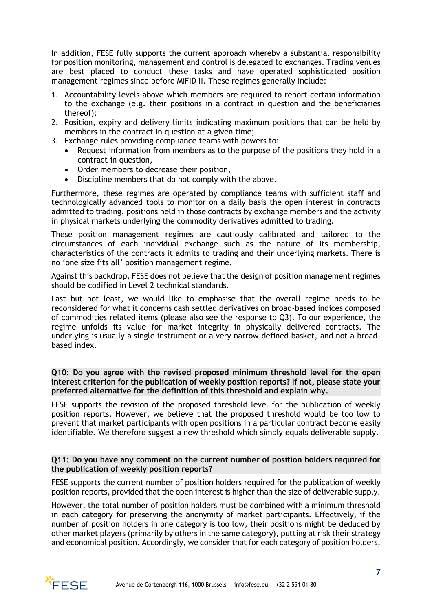In addition, FESE fully supports the current approach whereby a substantial responsibility for position monitoring, management and control is delegated to exchanges. Trading venues are best placed to conduct these tasks and have operated sophisticated position management regimes since before MiFID II. These regimes generally include:

- 1. Accountability levels above which members are required to report certain information to the exchange (e.g. their positions in a contract in question and the beneficiaries thereof);
- 2. Position, expiry and delivery limits indicating maximum positions that can be held by members in the contract in question at a given time;
- 3. Exchange rules providing compliance teams with powers to:
	- Request information from members as to the purpose of the positions they hold in a contract in question,
	- Order members to decrease their position,
	- Discipline members that do not comply with the above.

Furthermore, these regimes are operated by compliance teams with sufficient staff and technologically advanced tools to monitor on a daily basis the open interest in contracts admitted to trading, positions held in those contracts by exchange members and the activity in physical markets underlying the commodity derivatives admitted to trading.

These position management regimes are cautiously calibrated and tailored to the circumstances of each individual exchange such as the nature of its membership, characteristics of the contracts it admits to trading and their underlying markets. There is no 'one size fits all' position management regime.

Against this backdrop, FESE does not believe that the design of position management regimes should be codified in Level 2 technical standards.

Last but not least, we would like to emphasise that the overall regime needs to be reconsidered for what it concerns cash settled derivatives on broad-based indices composed of commodities related items (please also see the response to Q3). To our experience, the regime unfolds its value for market integrity in physically delivered contracts. The underlying is usually a single instrument or a very narrow defined basket, and not a broadbased index.

## **Q10: Do you agree with the revised proposed minimum threshold level for the open interest criterion for the publication of weekly position reports? If not, please state your preferred alternative for the definition of this threshold and explain why.**

FESE supports the revision of the proposed threshold level for the publication of weekly position reports. However, we believe that the proposed threshold would be too low to prevent that market participants with open positions in a particular contract become easily identifiable. We therefore suggest a new threshold which simply equals deliverable supply.

## **Q11: Do you have any comment on the current number of position holders required for the publication of weekly position reports?**

FESE supports the current number of position holders required for the publication of weekly position reports, provided that the open interest is higher than the size of deliverable supply.

However, the total number of position holders must be combined with a minimum threshold in each category for preserving the anonymity of market participants. Effectively, if the number of position holders in one category is too low, their positions might be deduced by other market players (primarily by others in the same category), putting at risk their strategy and economical position. Accordingly, we consider that for each category of position holders,